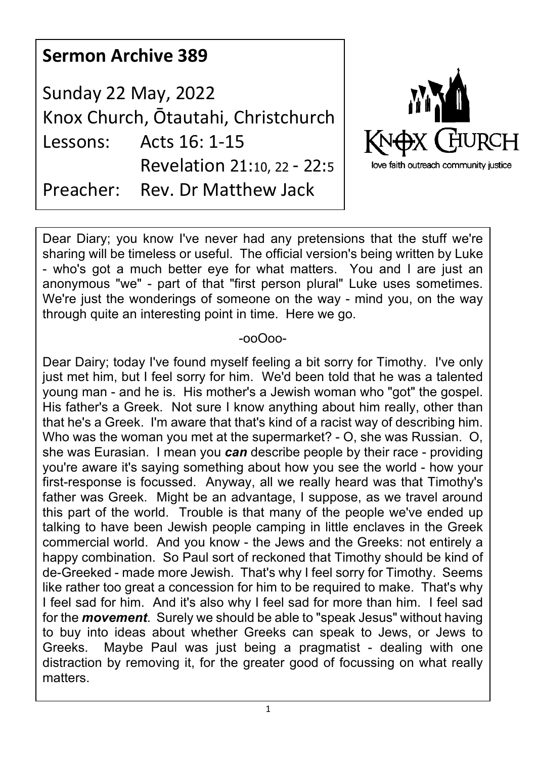## **Sermon Archive 389**

Sunday 22 May, 2022 Knox Church, Ōtautahi, Christchurch Lessons: Acts 16: 1-15 Revelation 21:10, 22 - 22:5 Preacher: Rev. Dr Matthew Jack



Dear Diary; you know I've never had any pretensions that the stuff we're sharing will be timeless or useful. The official version's being written by Luke - who's got a much better eye for what matters. You and I are just an anonymous "we" - part of that "first person plural" Luke uses sometimes. We're just the wonderings of someone on the way - mind you, on the way through quite an interesting point in time. Here we go.

## -ooOoo-

Dear Dairy; today I've found myself feeling a bit sorry for Timothy. I've only just met him, but I feel sorry for him. We'd been told that he was a talented young man - and he is. His mother's a Jewish woman who "got" the gospel. His father's a Greek. Not sure I know anything about him really, other than that he's a Greek. I'm aware that that's kind of a racist way of describing him. Who was the woman you met at the supermarket? - O, she was Russian. O, she was Eurasian. I mean you *can* describe people by their race - providing you're aware it's saying something about how you see the world - how your first-response is focussed. Anyway, all we really heard was that Timothy's father was Greek. Might be an advantage, I suppose, as we travel around this part of the world. Trouble is that many of the people we've ended up talking to have been Jewish people camping in little enclaves in the Greek commercial world. And you know - the Jews and the Greeks: not entirely a happy combination. So Paul sort of reckoned that Timothy should be kind of de-Greeked - made more Jewish. That's why I feel sorry for Timothy. Seems like rather too great a concession for him to be required to make. That's why I feel sad for him. And it's also why I feel sad for more than him. I feel sad for the *movement*. Surely we should be able to "speak Jesus" without having to buy into ideas about whether Greeks can speak to Jews, or Jews to Greeks. Maybe Paul was just being a pragmatist - dealing with one distraction by removing it, for the greater good of focussing on what really matters.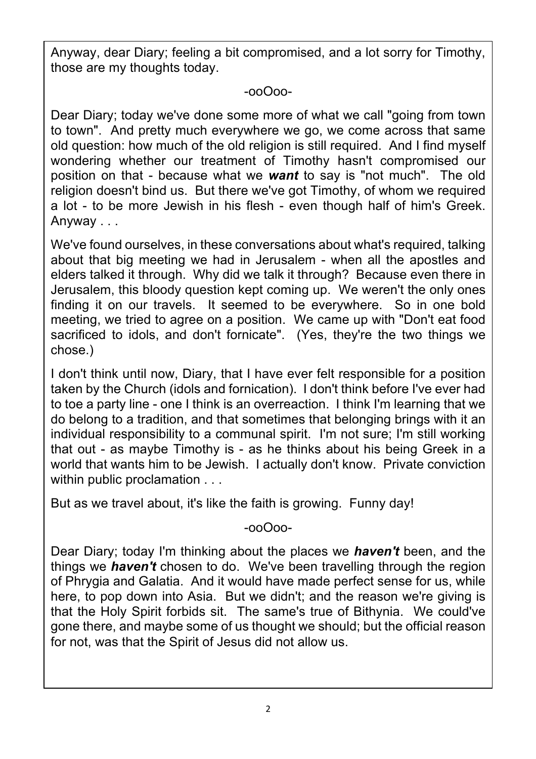Anyway, dear Diary; feeling a bit compromised, and a lot sorry for Timothy, those are my thoughts today.

-ooOoo-

Dear Diary; today we've done some more of what we call "going from town to town". And pretty much everywhere we go, we come across that same old question: how much of the old religion is still required. And I find myself wondering whether our treatment of Timothy hasn't compromised our position on that - because what we *want* to say is "not much". The old religion doesn't bind us. But there we've got Timothy, of whom we required a lot - to be more Jewish in his flesh - even though half of him's Greek. Anyway . . .

We've found ourselves, in these conversations about what's required, talking about that big meeting we had in Jerusalem - when all the apostles and elders talked it through. Why did we talk it through? Because even there in Jerusalem, this bloody question kept coming up. We weren't the only ones finding it on our travels. It seemed to be everywhere. So in one bold meeting, we tried to agree on a position. We came up with "Don't eat food sacrificed to idols, and don't fornicate". (Yes, they're the two things we chose.)

I don't think until now, Diary, that I have ever felt responsible for a position taken by the Church (idols and fornication). I don't think before I've ever had to toe a party line - one I think is an overreaction. I think I'm learning that we do belong to a tradition, and that sometimes that belonging brings with it an individual responsibility to a communal spirit. I'm not sure; I'm still working that out - as maybe Timothy is - as he thinks about his being Greek in a world that wants him to be Jewish. I actually don't know. Private conviction within public proclamation . . .

But as we travel about, it's like the faith is growing. Funny day!

-ooOoo-

Dear Diary; today I'm thinking about the places we *haven't* been, and the things we *haven't* chosen to do. We've been travelling through the region of Phrygia and Galatia. And it would have made perfect sense for us, while here, to pop down into Asia. But we didn't; and the reason we're giving is that the Holy Spirit forbids sit. The same's true of Bithynia. We could've gone there, and maybe some of us thought we should; but the official reason for not, was that the Spirit of Jesus did not allow us.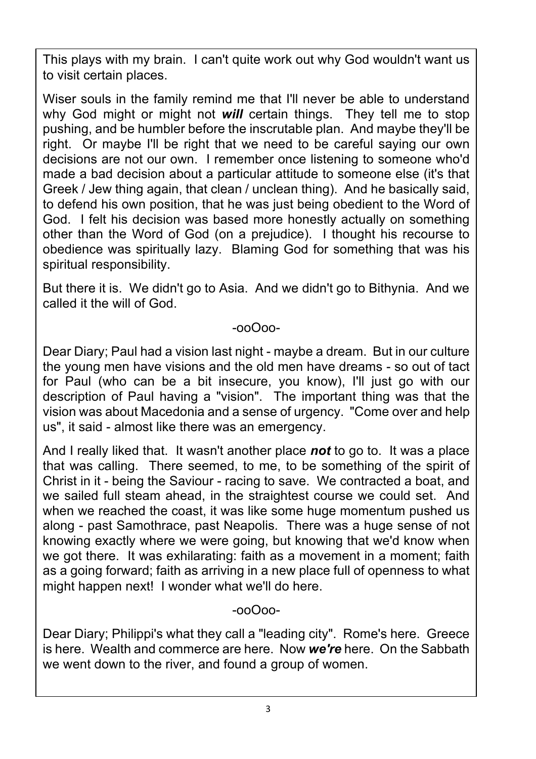This plays with my brain. I can't quite work out why God wouldn't want us to visit certain places.

Wiser souls in the family remind me that I'll never be able to understand why God might or might not **will** certain things. They tell me to stop pushing, and be humbler before the inscrutable plan. And maybe they'll be right. Or maybe I'll be right that we need to be careful saying our own decisions are not our own. I remember once listening to someone who'd made a bad decision about a particular attitude to someone else (it's that Greek / Jew thing again, that clean / unclean thing). And he basically said, to defend his own position, that he was just being obedient to the Word of God. I felt his decision was based more honestly actually on something other than the Word of God (on a prejudice). I thought his recourse to obedience was spiritually lazy. Blaming God for something that was his spiritual responsibility.

But there it is. We didn't go to Asia. And we didn't go to Bithynia. And we called it the will of God.

-ooOoo-

Dear Diary; Paul had a vision last night - maybe a dream. But in our culture the young men have visions and the old men have dreams - so out of tact for Paul (who can be a bit insecure, you know), I'll just go with our description of Paul having a "vision". The important thing was that the vision was about Macedonia and a sense of urgency. "Come over and help us", it said - almost like there was an emergency.

And I really liked that. It wasn't another place *not* to go to. It was a place that was calling. There seemed, to me, to be something of the spirit of Christ in it - being the Saviour - racing to save. We contracted a boat, and we sailed full steam ahead, in the straightest course we could set. And when we reached the coast, it was like some huge momentum pushed us along - past Samothrace, past Neapolis. There was a huge sense of not knowing exactly where we were going, but knowing that we'd know when we got there. It was exhilarating: faith as a movement in a moment; faith as a going forward; faith as arriving in a new place full of openness to what might happen next! I wonder what we'll do here.

-ooOoo-

Dear Diary; Philippi's what they call a "leading city". Rome's here. Greece is here. Wealth and commerce are here. Now *we're* here. On the Sabbath we went down to the river, and found a group of women.